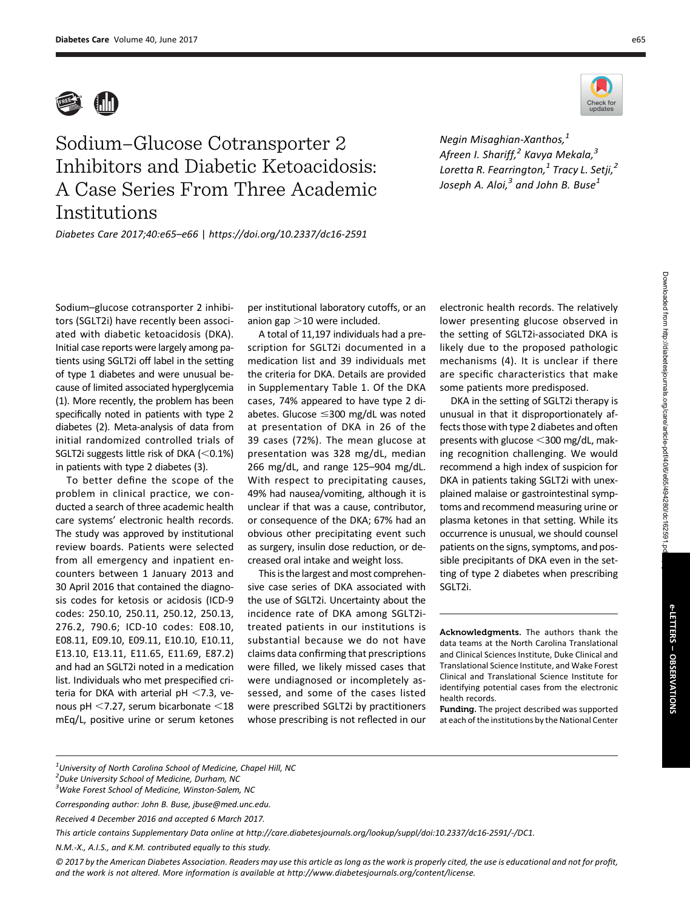

## Sodium–Glucose Cotransporter 2 Inhibitors and Diabetic Ketoacidosis: A Case Series From Three Academic Institutions

Negin Misaghian-Xanthos, $<sup>1</sup>$ </sup> Afreen I. Shariff,<sup>2</sup> Kavya Mekala,<sup>3</sup> Loretta R. Fearrington, $^1$  Tracy L. Setji, $^2$ Joseph A. Aloi, $^3$  and John B. Buse<sup>1</sup>

Diabetes Care 2017;40:e65–e66 | <https://doi.org/10.2337/dc16-2591>

Sodium–glucose cotransporter 2 inhibitors (SGLT2i) have recently been associated with diabetic ketoacidosis (DKA). Initial case reports were largely among patients using SGLT2i off label in the setting of type 1 diabetes and were unusual because of limited associated hyperglycemia (1). More recently, the problem has been specifically noted in patients with type 2 diabetes (2). Meta-analysis of data from initial randomized controlled trials of SGLT2i suggests little risk of DKA  $(<0.1\%)$ in patients with type 2 diabetes (3).

To better define the scope of the problem in clinical practice, we conducted a search of three academic health care systems' electronic health records. The study was approved by institutional review boards. Patients were selected from all emergency and inpatient encounters between 1 January 2013 and 30 April 2016 that contained the diagnosis codes for ketosis or acidosis (ICD-9 codes: 250.10, 250.11, 250.12, 250.13, 276.2, 790.6; ICD-10 codes: E08.10, E08.11, E09.10, E09.11, E10.10, E10.11, E13.10, E13.11, E11.65, E11.69, E87.2) and had an SGLT2i noted in a medication list. Individuals who met prespecified criteria for DKA with arterial pH  $<$ 7.3, venous pH  $<$ 7.27, serum bicarbonate  $<$ 18 mEq/L, positive urine or serum ketones

per institutional laboratory cutoffs, or an anion gap  $>$ 10 were included.

A total of 11,197 individuals had a prescription for SGLT2i documented in a medication list and 39 individuals met the criteria for DKA. Details are provided in Supplementary Table 1. Of the DKA cases, 74% appeared to have type 2 diabetes. Glucose  $\leq$ 300 mg/dL was noted at presentation of DKA in 26 of the 39 cases (72%). The mean glucose at presentation was 328 mg/dL, median 266 mg/dL, and range 125–904 mg/dL. With respect to precipitating causes, 49% had nausea/vomiting, although it is unclear if that was a cause, contributor, or consequence of the DKA; 67% had an obvious other precipitating event such as surgery, insulin dose reduction, or decreased oral intake and weight loss.

This is the largest and most comprehensive case series of DKA associated with the use of SGLT2i. Uncertainty about the incidence rate of DKA among SGLT2itreated patients in our institutions is substantial because we do not have claims data confirming that prescriptions were filled, we likely missed cases that were undiagnosed or incompletely assessed, and some of the cases listed were prescribed SGLT2i by practitioners whose prescribing is not reflected in our electronic health records. The relatively lower presenting glucose observed in the setting of SGLT2i-associated DKA is likely due to the proposed pathologic mechanisms (4). It is unclear if there are specific characteristics that make some patients more predisposed.

DKA in the setting of SGLT2i therapy is unusual in that it disproportionately affects those with type 2 diabetes and often presents with glucose  $<$  300 mg/dL, making recognition challenging. We would recommend a high index of suspicion for DKA in patients taking SGLT2i with unexplained malaise or gastrointestinal symptoms and recommend measuring urine or plasma ketones in that setting. While its occurrence is unusual, we should counsel patients on the signs, symptoms, and possible precipitants of DKA even in the setting of type 2 diabetes when prescribing SGLT2i.

Acknowledgments. The authors thank the data teams at the North Carolina Translational and Clinical Sciences Institute, Duke Clinical and Translational Science Institute, and Wake Forest Clinical and Translational Science Institute for identifying potential cases from the electronic health records.

Funding. The project described was supported at each of the institutions by the National Center

|  | <sup>1</sup> University of North Carolina School of Medicine, Chapel Hill, NC |  |
|--|-------------------------------------------------------------------------------|--|
|  |                                                                               |  |

© 2017 by the American Diabetes Association. Readers may use this article as long as the work is properly cited, the use is educational and not for profit, and the work is not altered. More information is available at [http://www.diabetesjournals.org/content/license.](http://www.diabetesjournals.org/content/license)



<sup>2</sup> Duke University School of Medicine, Durham, NC

<sup>&</sup>lt;sup>3</sup>Wake Forest School of Medicine, Winston-Salem, NC

Corresponding author: John B. Buse, [jbuse@med.unc.edu](mailto:jbuse@med.unc.edu).

Received 4 December 2016 and accepted 6 March 2017.

This article contains Supplementary Data online at [http://care.diabetesjournals.org/lookup/suppl/doi:10.2337/dc16-2591/-/DC1.](http://care.diabetesjournals.org/lookup/suppl/doi:10.2337/dc16-2591/-/DC1)

N.M.-X., A.I.S., and K.M. contributed equally to this study.